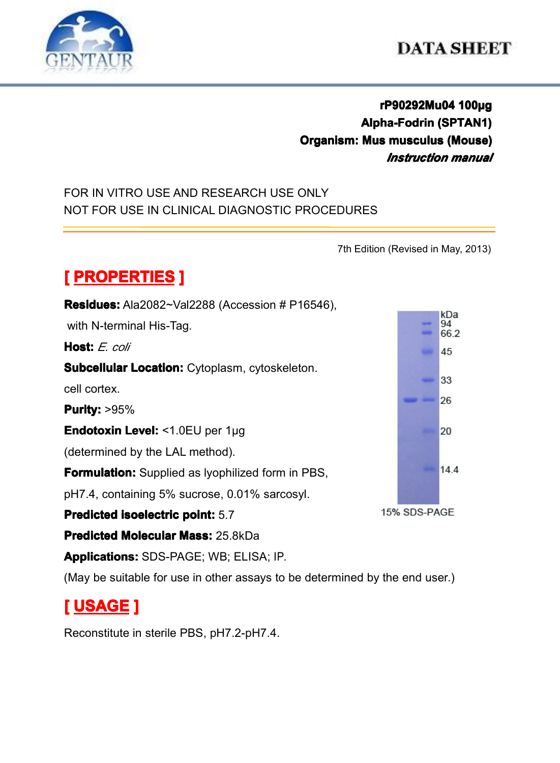

#### **DATA SHEET**

#### **rP90292Mu04 P90292Mu04P90292Mu04 P90292Mu04100µg Alpha-Fodrin Alpha-Fodrin(SPTAN1) Organism: Organism: Mus musculus musculus musculus (Mouse) (Mouse) (Mouse)** *Instruction manual*

FOR IN VITRO USE AND RESEARCH USE ONLY NOT FOR USE IN CLINICAL DIAGNOSTIC PROCEDURES

7th Edition (Revised in May, 2013)

# $[$  **PROPERTIES P**

**Residues: Residues:**Ala2082~Val2288 (Accession # P16546), with N-terminal His-Tag. **Host:** *E. coli* **Subcellular Location: Cytoplasm, cytoskeleton.** cell cortex. **Purity: Purity:**>95% **Endotoxin EndotoxinLevel:** <1.0EU per 1μg (determined by the LAL method). **Formulation:** Supplied as lyophilized form in PBS, pH7.4, containing 5% sucrose, 0.01% sarcosyl. **Predicted Predicted Predicted[isoelectric](app:ds:  isoelectric point) isoelectricisoelectric point:** 5.7 **Predicted Molecular Mass: 25.8kDa Applications: Applications:**SDS-PAGE; WB; ELISA; IP.

(May be suitable for use in other assays to be determined by the end user.)

# **[ USAGE ]**

Reconstitute in sterile PBS, pH7.2-pH7.4.